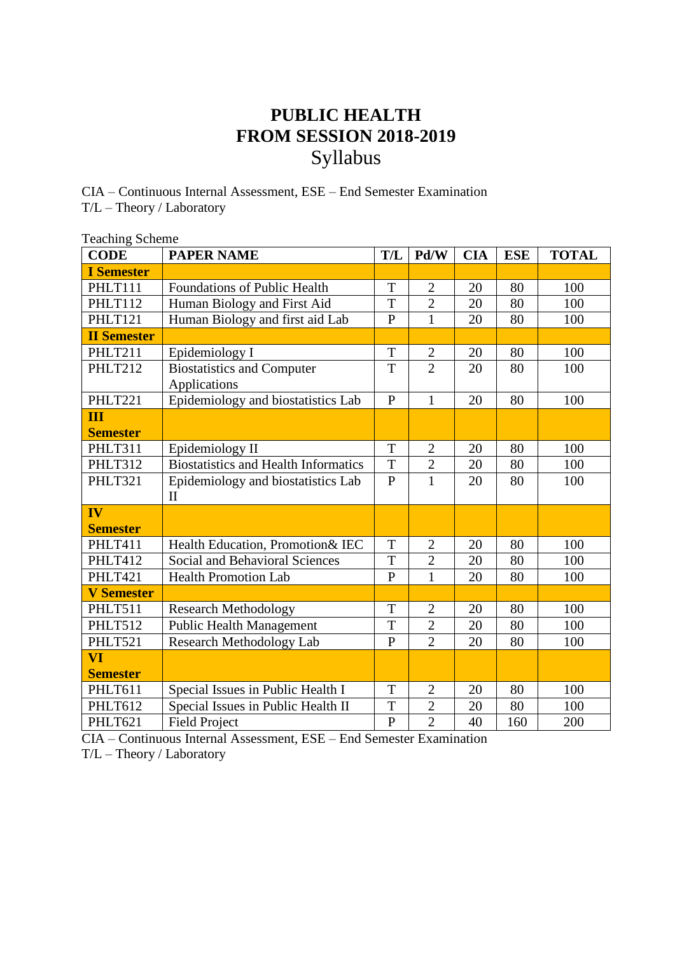## **PUBLIC HEALTH FROM SESSION 2018-2019** Syllabus

CIA – Continuous Internal Assessment, ESE – End Semester Examination T/L – Theory / Laboratory

| <b>Teaching Scheme</b> |                                             |                |                |            |            |              |
|------------------------|---------------------------------------------|----------------|----------------|------------|------------|--------------|
| <b>CODE</b>            | <b>PAPER NAME</b>                           | T/L            | Pd/W           | <b>CIA</b> | <b>ESE</b> | <b>TOTAL</b> |
| <b>I</b> Semester      |                                             |                |                |            |            |              |
| PHLT111                | <b>Foundations of Public Health</b>         | T              | $\mathbf{2}$   | 20         | 80         | 100          |
| PHLT112                | Human Biology and First Aid                 | T              | $\overline{2}$ | 20         | 80         | 100          |
| PHLT121                | Human Biology and first aid Lab             | $\overline{P}$ | $\mathbf{1}$   | 20         | 80         | 100          |
| <b>II Semester</b>     |                                             |                |                |            |            |              |
| PHLT211                | Epidemiology I                              | T              | $\overline{2}$ | 20         | 80         | 100          |
| PHLT212                | <b>Biostatistics and Computer</b>           | T              | $\overline{2}$ | 20         | 80         | 100          |
|                        | Applications                                |                |                |            |            |              |
| PHLT221                | Epidemiology and biostatistics Lab          | $\overline{P}$ | $\mathbf{1}$   | 20         | 80         | 100          |
| Ш                      |                                             |                |                |            |            |              |
| <b>Semester</b>        |                                             |                |                |            |            |              |
| PHLT311                | Epidemiology II                             | T              | $\overline{2}$ | 20         | 80         | 100          |
| PHLT312                | <b>Biostatistics and Health Informatics</b> | T              | $\overline{c}$ | 20         | 80         | 100          |
| PHLT321                | Epidemiology and biostatistics Lab          | $\mathbf{P}$   | $\mathbf{1}$   | 20         | 80         | 100          |
|                        | $\mathbf{I}$                                |                |                |            |            |              |
| IV                     |                                             |                |                |            |            |              |
| <b>Semester</b>        |                                             |                |                |            |            |              |
| PHLT411                | Health Education, Promotion& IEC            | T              | $\overline{2}$ | 20         | 80         | 100          |
| PHLT412                | Social and Behavioral Sciences              | T              | $\overline{2}$ | 20         | 80         | 100          |
| PHLT421                | <b>Health Promotion Lab</b>                 | $\mathbf{P}$   | $\mathbf{1}$   | 20         | 80         | 100          |
| <b>V</b> Semester      |                                             |                |                |            |            |              |
| PHLT511                | <b>Research Methodology</b>                 | T              | $\overline{2}$ | 20         | 80         | 100          |
| PHLT512                | <b>Public Health Management</b>             | T              | $\overline{2}$ | 20         | 80         | 100          |
| PHLT521                | <b>Research Methodology Lab</b>             | $\overline{P}$ | $\overline{2}$ | 20         | 80         | 100          |
| VI                     |                                             |                |                |            |            |              |
| <b>Semester</b>        |                                             |                |                |            |            |              |
| PHLT611                | Special Issues in Public Health I           | T              | $\overline{2}$ | 20         | 80         | 100          |
| PHLT612                | Special Issues in Public Health II          | T              | $\overline{2}$ | 20         | 80         | 100          |
| PHLT621                | <b>Field Project</b>                        | $\mathbf{P}$   | $\overline{2}$ | 40         | 160        | 200          |

CIA – Continuous Internal Assessment, ESE – End Semester Examination

T/L – Theory / Laboratory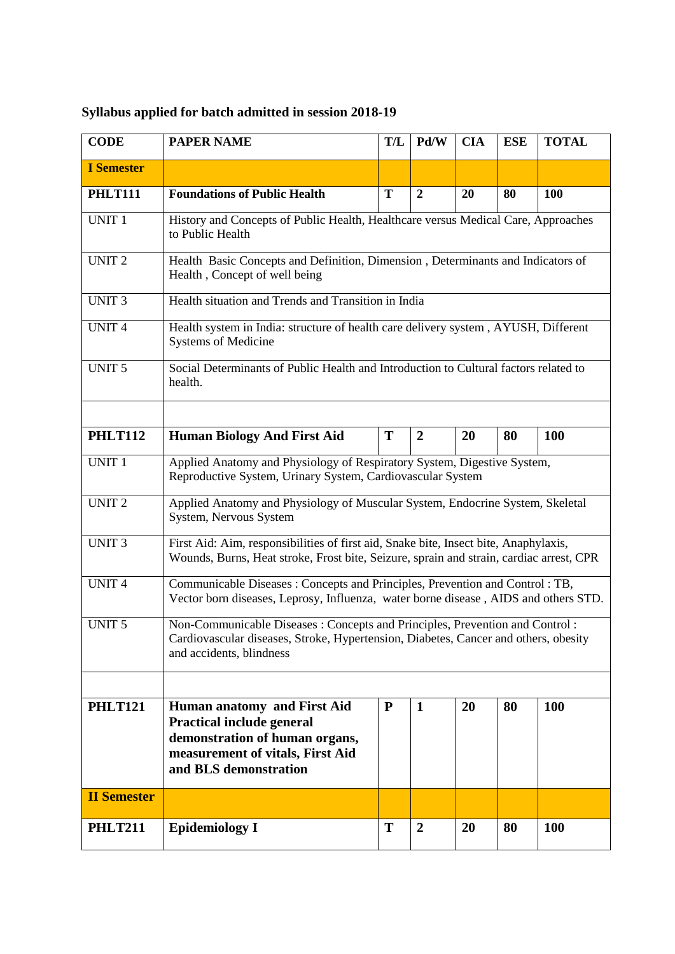## **Syllabus applied for batch admitted in session 2018-19**

| <b>CODE</b>        | <b>PAPER NAME</b>                                                                                                                                                                                   | T/L | Pd/W             | <b>CIA</b> | <b>ESE</b> | <b>TOTAL</b> |  |  |
|--------------------|-----------------------------------------------------------------------------------------------------------------------------------------------------------------------------------------------------|-----|------------------|------------|------------|--------------|--|--|
| <b>I</b> Semester  |                                                                                                                                                                                                     |     |                  |            |            |              |  |  |
| <b>PHLT111</b>     | <b>Foundations of Public Health</b>                                                                                                                                                                 | T   | $\overline{2}$   | 20         | 80         | 100          |  |  |
| UNIT <sub>1</sub>  | History and Concepts of Public Health, Healthcare versus Medical Care, Approaches<br>to Public Health                                                                                               |     |                  |            |            |              |  |  |
| <b>UNIT 2</b>      | Health Basic Concepts and Definition, Dimension, Determinants and Indicators of<br>Health, Concept of well being                                                                                    |     |                  |            |            |              |  |  |
| <b>UNIT3</b>       | Health situation and Trends and Transition in India                                                                                                                                                 |     |                  |            |            |              |  |  |
| <b>UNIT4</b>       | Health system in India: structure of health care delivery system, AYUSH, Different<br><b>Systems of Medicine</b>                                                                                    |     |                  |            |            |              |  |  |
| <b>UNIT 5</b>      | Social Determinants of Public Health and Introduction to Cultural factors related to<br>health.                                                                                                     |     |                  |            |            |              |  |  |
|                    |                                                                                                                                                                                                     |     |                  |            |            |              |  |  |
| <b>PHLT112</b>     | <b>Human Biology And First Aid</b><br>T<br>80<br><b>100</b><br><b>20</b><br>$\boldsymbol{2}$                                                                                                        |     |                  |            |            |              |  |  |
| <b>UNIT 1</b>      | Applied Anatomy and Physiology of Respiratory System, Digestive System,<br>Reproductive System, Urinary System, Cardiovascular System                                                               |     |                  |            |            |              |  |  |
| <b>UNIT2</b>       | Applied Anatomy and Physiology of Muscular System, Endocrine System, Skeletal<br>System, Nervous System                                                                                             |     |                  |            |            |              |  |  |
| <b>UNIT 3</b>      | First Aid: Aim, responsibilities of first aid, Snake bite, Insect bite, Anaphylaxis,<br>Wounds, Burns, Heat stroke, Frost bite, Seizure, sprain and strain, cardiac arrest, CPR                     |     |                  |            |            |              |  |  |
| <b>UNIT4</b>       | Communicable Diseases: Concepts and Principles, Prevention and Control: TB,<br>Vector born diseases, Leprosy, Influenza, water borne disease, AIDS and others STD.                                  |     |                  |            |            |              |  |  |
| <b>UNIT 5</b>      | Non-Communicable Diseases: Concepts and Principles, Prevention and Control:<br>Cardiovascular diseases, Stroke, Hypertension, Diabetes, Cancer and others, obesity<br>and accidents, blindness      |     |                  |            |            |              |  |  |
|                    |                                                                                                                                                                                                     |     |                  |            |            |              |  |  |
| <b>PHLT121</b>     | ${\bf P}$<br>Human anatomy and First Aid<br>20<br>80<br>100<br>1<br><b>Practical include general</b><br>demonstration of human organs,<br>measurement of vitals, First Aid<br>and BLS demonstration |     |                  |            |            |              |  |  |
| <b>II Semester</b> |                                                                                                                                                                                                     |     |                  |            |            |              |  |  |
| <b>PHLT211</b>     | <b>Epidemiology I</b>                                                                                                                                                                               | T   | $\boldsymbol{2}$ | 20         | 80         | 100          |  |  |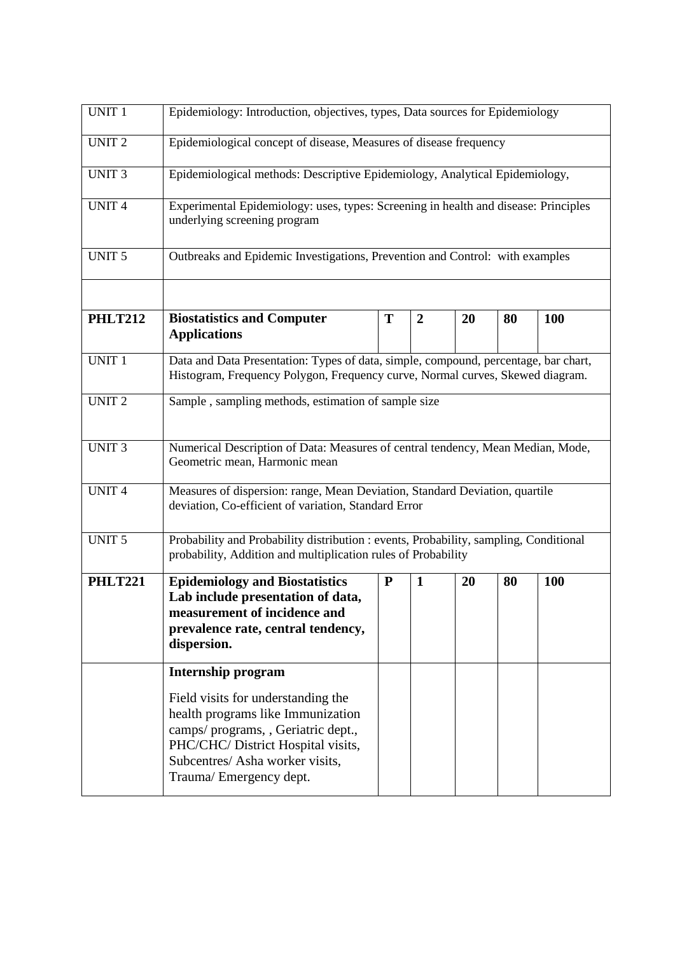| <b>UNIT 1</b>  | Epidemiology: Introduction, objectives, types, Data sources for Epidemiology                                                                                                                                      |           |                  |    |    |            |  |  |  |
|----------------|-------------------------------------------------------------------------------------------------------------------------------------------------------------------------------------------------------------------|-----------|------------------|----|----|------------|--|--|--|
| <b>UNIT 2</b>  | Epidemiological concept of disease, Measures of disease frequency                                                                                                                                                 |           |                  |    |    |            |  |  |  |
| <b>UNIT3</b>   | Epidemiological methods: Descriptive Epidemiology, Analytical Epidemiology,                                                                                                                                       |           |                  |    |    |            |  |  |  |
| <b>UNIT4</b>   | Experimental Epidemiology: uses, types: Screening in health and disease: Principles<br>underlying screening program                                                                                               |           |                  |    |    |            |  |  |  |
| <b>UNIT 5</b>  | Outbreaks and Epidemic Investigations, Prevention and Control: with examples                                                                                                                                      |           |                  |    |    |            |  |  |  |
| <b>PHLT212</b> | <b>Biostatistics and Computer</b><br><b>Applications</b>                                                                                                                                                          | T         | $\boldsymbol{2}$ | 20 | 80 | 100        |  |  |  |
| <b>UNIT 1</b>  | Data and Data Presentation: Types of data, simple, compound, percentage, bar chart,<br>Histogram, Frequency Polygon, Frequency curve, Normal curves, Skewed diagram.                                              |           |                  |    |    |            |  |  |  |
| <b>UNIT2</b>   | Sample, sampling methods, estimation of sample size                                                                                                                                                               |           |                  |    |    |            |  |  |  |
| <b>UNIT3</b>   | Numerical Description of Data: Measures of central tendency, Mean Median, Mode,<br>Geometric mean, Harmonic mean                                                                                                  |           |                  |    |    |            |  |  |  |
| <b>UNIT4</b>   | Measures of dispersion: range, Mean Deviation, Standard Deviation, quartile<br>deviation, Co-efficient of variation, Standard Error                                                                               |           |                  |    |    |            |  |  |  |
| <b>UNIT 5</b>  | Probability and Probability distribution : events, Probability, sampling, Conditional<br>probability, Addition and multiplication rules of Probability                                                            |           |                  |    |    |            |  |  |  |
| <b>PHLT221</b> | <b>Epidemiology and Biostatistics</b><br>Lab include presentation of data,<br>measurement of incidence and<br>prevalence rate, central tendency,<br>dispersion.                                                   | ${\bf P}$ | $\mathbf{1}$     | 20 | 80 | <b>100</b> |  |  |  |
|                | <b>Internship program</b>                                                                                                                                                                                         |           |                  |    |    |            |  |  |  |
|                | Field visits for understanding the<br>health programs like Immunization<br>camps/ programs, , Geriatric dept.,<br>PHC/CHC/ District Hospital visits,<br>Subcentres/ Asha worker visits,<br>Trauma/Emergency dept. |           |                  |    |    |            |  |  |  |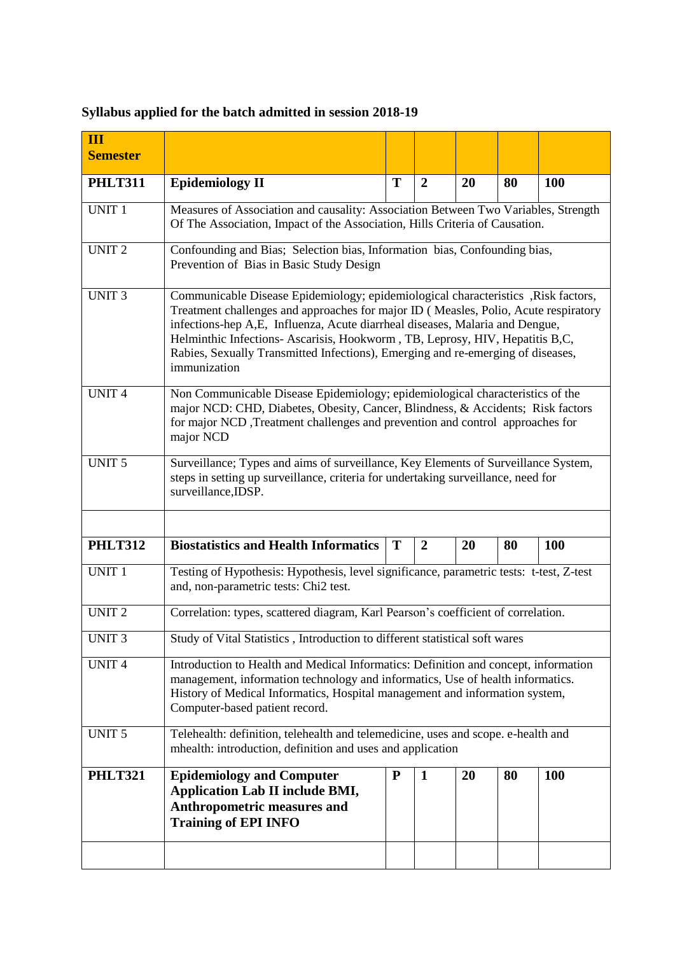## **Syllabus applied for the batch admitted in session 2018-19**

| Ш<br><b>Semester</b> |                                                                                                                                                                                                                                                                                                                                                                                                                                              |           |                |    |    |            |  |  |  |
|----------------------|----------------------------------------------------------------------------------------------------------------------------------------------------------------------------------------------------------------------------------------------------------------------------------------------------------------------------------------------------------------------------------------------------------------------------------------------|-----------|----------------|----|----|------------|--|--|--|
| <b>PHLT311</b>       | <b>Epidemiology II</b>                                                                                                                                                                                                                                                                                                                                                                                                                       | T         | $\overline{2}$ | 20 | 80 | 100        |  |  |  |
| <b>UNIT 1</b>        | Measures of Association and causality: Association Between Two Variables, Strength<br>Of The Association, Impact of the Association, Hills Criteria of Causation.                                                                                                                                                                                                                                                                            |           |                |    |    |            |  |  |  |
| <b>UNIT 2</b>        | Confounding and Bias; Selection bias, Information bias, Confounding bias,<br>Prevention of Bias in Basic Study Design                                                                                                                                                                                                                                                                                                                        |           |                |    |    |            |  |  |  |
| <b>UNIT3</b>         | Communicable Disease Epidemiology; epidemiological characteristics , Risk factors,<br>Treatment challenges and approaches for major ID (Measles, Polio, Acute respiratory<br>infections-hep A,E, Influenza, Acute diarrheal diseases, Malaria and Dengue,<br>Helminthic Infections- Ascarisis, Hookworm, TB, Leprosy, HIV, Hepatitis B,C,<br>Rabies, Sexually Transmitted Infections), Emerging and re-emerging of diseases,<br>immunization |           |                |    |    |            |  |  |  |
| <b>UNIT4</b>         | Non Communicable Disease Epidemiology; epidemiological characteristics of the<br>major NCD: CHD, Diabetes, Obesity, Cancer, Blindness, & Accidents; Risk factors<br>for major NCD, Treatment challenges and prevention and control approaches for<br>major NCD                                                                                                                                                                               |           |                |    |    |            |  |  |  |
| <b>UNIT 5</b>        | Surveillance; Types and aims of surveillance, Key Elements of Surveillance System,<br>steps in setting up surveillance, criteria for undertaking surveillance, need for<br>surveillance, IDSP.                                                                                                                                                                                                                                               |           |                |    |    |            |  |  |  |
| <b>PHLT312</b>       | <b>Biostatistics and Health Informatics</b>                                                                                                                                                                                                                                                                                                                                                                                                  | T         | $\overline{2}$ | 20 | 80 | <b>100</b> |  |  |  |
| <b>UNIT 1</b>        | Testing of Hypothesis: Hypothesis, level significance, parametric tests: t-test, Z-test<br>and, non-parametric tests: Chi2 test.                                                                                                                                                                                                                                                                                                             |           |                |    |    |            |  |  |  |
| <b>UNIT 2</b>        | Correlation: types, scattered diagram, Karl Pearson's coefficient of correlation.                                                                                                                                                                                                                                                                                                                                                            |           |                |    |    |            |  |  |  |
| <b>UNIT 3</b>        | Study of Vital Statistics, Introduction to different statistical soft wares                                                                                                                                                                                                                                                                                                                                                                  |           |                |    |    |            |  |  |  |
| <b>UNIT4</b>         | Introduction to Health and Medical Informatics: Definition and concept, information<br>management, information technology and informatics, Use of health informatics.<br>History of Medical Informatics, Hospital management and information system,<br>Computer-based patient record.                                                                                                                                                       |           |                |    |    |            |  |  |  |
| <b>UNIT 5</b>        | Telehealth: definition, telehealth and telemedicine, uses and scope. e-health and<br>mhealth: introduction, definition and uses and application                                                                                                                                                                                                                                                                                              |           |                |    |    |            |  |  |  |
| <b>PHLT321</b>       | <b>Epidemiology and Computer</b><br><b>Application Lab II include BMI,</b><br>Anthropometric measures and<br><b>Training of EPI INFO</b>                                                                                                                                                                                                                                                                                                     | ${\bf P}$ | $\mathbf{1}$   | 20 | 80 | <b>100</b> |  |  |  |
|                      |                                                                                                                                                                                                                                                                                                                                                                                                                                              |           |                |    |    |            |  |  |  |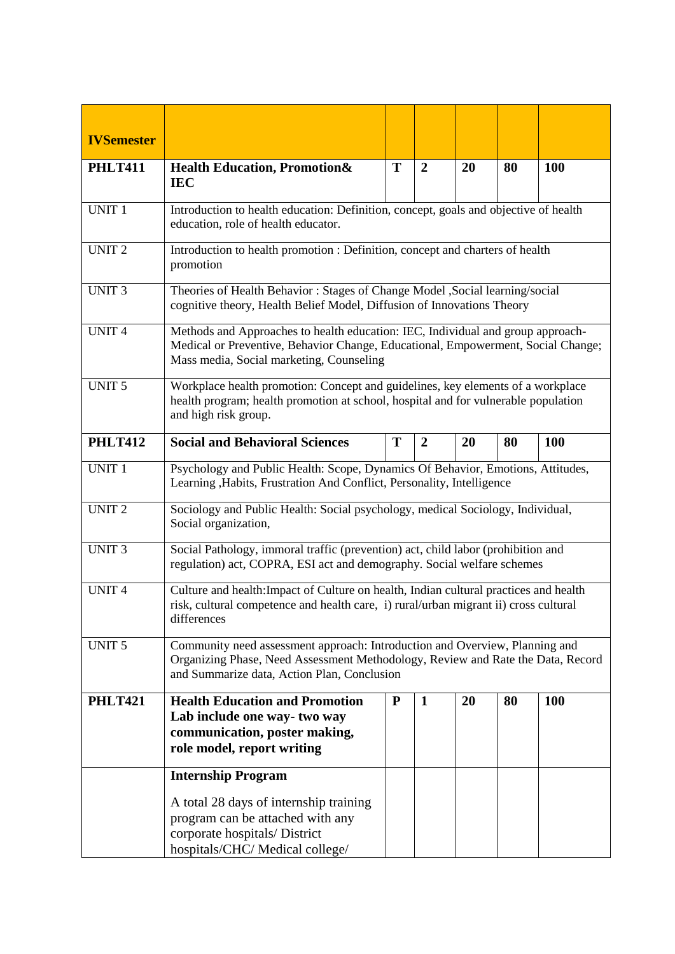| <b>IVSemester</b> |                                                                                                                                                                                                                 |           |                  |    |    |            |  |  |
|-------------------|-----------------------------------------------------------------------------------------------------------------------------------------------------------------------------------------------------------------|-----------|------------------|----|----|------------|--|--|
| <b>PHLT411</b>    | <b>Health Education, Promotion&amp;</b><br><b>IEC</b>                                                                                                                                                           | T         | $\overline{2}$   | 20 | 80 | <b>100</b> |  |  |
| <b>UNIT 1</b>     | Introduction to health education: Definition, concept, goals and objective of health<br>education, role of health educator.                                                                                     |           |                  |    |    |            |  |  |
| <b>UNIT2</b>      | Introduction to health promotion : Definition, concept and charters of health<br>promotion                                                                                                                      |           |                  |    |    |            |  |  |
| <b>UNIT3</b>      | Theories of Health Behavior: Stages of Change Model , Social learning/social<br>cognitive theory, Health Belief Model, Diffusion of Innovations Theory                                                          |           |                  |    |    |            |  |  |
| <b>UNIT4</b>      | Methods and Approaches to health education: IEC, Individual and group approach-<br>Medical or Preventive, Behavior Change, Educational, Empowerment, Social Change;<br>Mass media, Social marketing, Counseling |           |                  |    |    |            |  |  |
| UNIT <sub>5</sub> | Workplace health promotion: Concept and guidelines, key elements of a workplace<br>health program; health promotion at school, hospital and for vulnerable population<br>and high risk group.                   |           |                  |    |    |            |  |  |
| <b>PHLT412</b>    | <b>Social and Behavioral Sciences</b>                                                                                                                                                                           | T         | $\boldsymbol{2}$ | 20 | 80 | <b>100</b> |  |  |
| <b>UNIT 1</b>     | Psychology and Public Health: Scope, Dynamics Of Behavior, Emotions, Attitudes,<br>Learning , Habits, Frustration And Conflict, Personality, Intelligence                                                       |           |                  |    |    |            |  |  |
| <b>UNIT2</b>      | Sociology and Public Health: Social psychology, medical Sociology, Individual,<br>Social organization,                                                                                                          |           |                  |    |    |            |  |  |
| <b>UNIT 3</b>     | Social Pathology, immoral traffic (prevention) act, child labor (prohibition and<br>regulation) act, COPRA, ESI act and demography. Social welfare schemes                                                      |           |                  |    |    |            |  |  |
| <b>UNIT4</b>      | Culture and health: Impact of Culture on health, Indian cultural practices and health<br>risk, cultural competence and health care, i) rural/urban migrant ii) cross cultural<br>differences                    |           |                  |    |    |            |  |  |
| <b>UNIT 5</b>     | Community need assessment approach: Introduction and Overview, Planning and<br>Organizing Phase, Need Assessment Methodology, Review and Rate the Data, Record<br>and Summarize data, Action Plan, Conclusion   |           |                  |    |    |            |  |  |
| <b>PHLT421</b>    | <b>Health Education and Promotion</b><br>Lab include one way-two way<br>communication, poster making,<br>role model, report writing                                                                             | ${\bf P}$ | $\mathbf{1}$     | 20 | 80 | <b>100</b> |  |  |
|                   | <b>Internship Program</b><br>A total 28 days of internship training<br>program can be attached with any<br>corporate hospitals/ District<br>hospitals/CHC/Medical college/                                      |           |                  |    |    |            |  |  |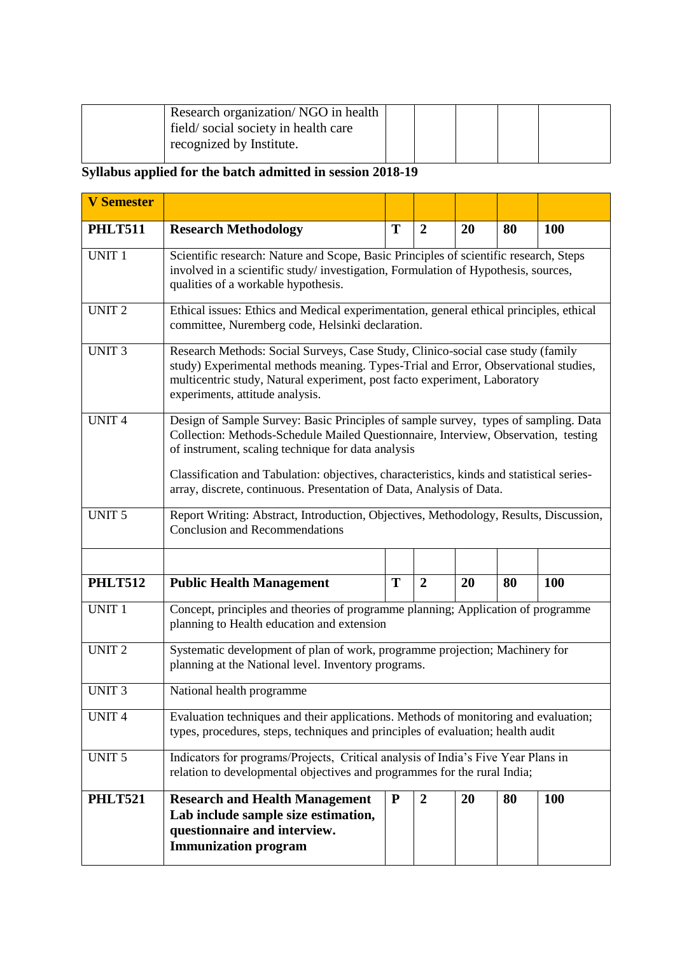| Research organization/NGO in health |  |  |
|-------------------------------------|--|--|
| field/social society in health care |  |  |
| recognized by Institute.            |  |  |

## **Syllabus applied for the batch admitted in session 2018-19**

| <b>V</b> Semester |                                                                                                                                                                                                                                                                                                                                                                                                      |           |                  |    |    |            |  |  |  |
|-------------------|------------------------------------------------------------------------------------------------------------------------------------------------------------------------------------------------------------------------------------------------------------------------------------------------------------------------------------------------------------------------------------------------------|-----------|------------------|----|----|------------|--|--|--|
| <b>PHLT511</b>    | <b>Research Methodology</b>                                                                                                                                                                                                                                                                                                                                                                          | T         | $\boldsymbol{2}$ | 20 | 80 | <b>100</b> |  |  |  |
| <b>UNIT 1</b>     | Scientific research: Nature and Scope, Basic Principles of scientific research, Steps<br>involved in a scientific study/investigation, Formulation of Hypothesis, sources,<br>qualities of a workable hypothesis.                                                                                                                                                                                    |           |                  |    |    |            |  |  |  |
| <b>UNIT2</b>      | Ethical issues: Ethics and Medical experimentation, general ethical principles, ethical<br>committee, Nuremberg code, Helsinki declaration.                                                                                                                                                                                                                                                          |           |                  |    |    |            |  |  |  |
| UNIT <sub>3</sub> | Research Methods: Social Surveys, Case Study, Clinico-social case study (family<br>study) Experimental methods meaning. Types-Trial and Error, Observational studies,<br>multicentric study, Natural experiment, post facto experiment, Laboratory<br>experiments, attitude analysis.                                                                                                                |           |                  |    |    |            |  |  |  |
| <b>UNIT4</b>      | Design of Sample Survey: Basic Principles of sample survey, types of sampling. Data<br>Collection: Methods-Schedule Mailed Questionnaire, Interview, Observation, testing<br>of instrument, scaling technique for data analysis<br>Classification and Tabulation: objectives, characteristics, kinds and statistical series-<br>array, discrete, continuous. Presentation of Data, Analysis of Data. |           |                  |    |    |            |  |  |  |
| <b>UNIT 5</b>     | Report Writing: Abstract, Introduction, Objectives, Methodology, Results, Discussion,<br><b>Conclusion and Recommendations</b>                                                                                                                                                                                                                                                                       |           |                  |    |    |            |  |  |  |
|                   |                                                                                                                                                                                                                                                                                                                                                                                                      |           |                  |    |    |            |  |  |  |
| <b>PHLT512</b>    | <b>Public Health Management</b>                                                                                                                                                                                                                                                                                                                                                                      | T         | $\overline{2}$   | 20 | 80 | <b>100</b> |  |  |  |
| <b>UNIT 1</b>     | Concept, principles and theories of programme planning; Application of programme<br>planning to Health education and extension                                                                                                                                                                                                                                                                       |           |                  |    |    |            |  |  |  |
| <b>UNIT2</b>      | Systematic development of plan of work, programme projection; Machinery for<br>planning at the National level. Inventory programs.                                                                                                                                                                                                                                                                   |           |                  |    |    |            |  |  |  |
| <b>UNIT3</b>      | National health programme                                                                                                                                                                                                                                                                                                                                                                            |           |                  |    |    |            |  |  |  |
| <b>UNIT4</b>      | Evaluation techniques and their applications. Methods of monitoring and evaluation;<br>types, procedures, steps, techniques and principles of evaluation; health audit                                                                                                                                                                                                                               |           |                  |    |    |            |  |  |  |
| <b>UNIT 5</b>     | Indicators for programs/Projects, Critical analysis of India's Five Year Plans in<br>relation to developmental objectives and programmes for the rural India;                                                                                                                                                                                                                                        |           |                  |    |    |            |  |  |  |
| <b>PHLT521</b>    | <b>Research and Health Management</b><br>Lab include sample size estimation,<br>questionnaire and interview.<br><b>Immunization program</b>                                                                                                                                                                                                                                                          | ${\bf P}$ | $\boldsymbol{2}$ | 20 | 80 | <b>100</b> |  |  |  |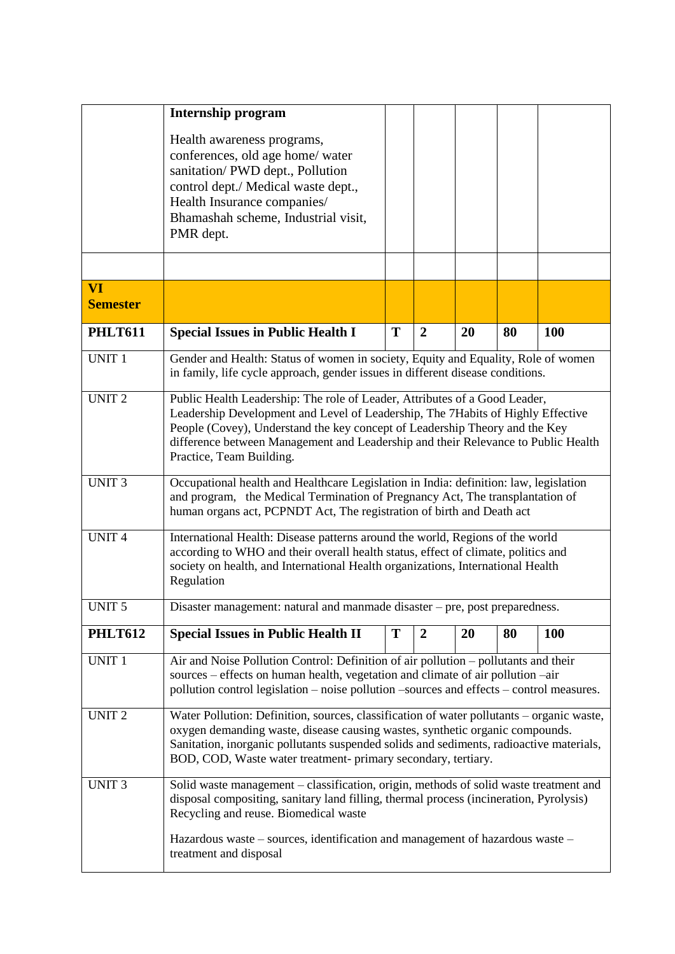|                              | <b>Internship program</b>                                                                                                                                                                                                                                                                                                                                     |   |                |    |    |            |  |  |
|------------------------------|---------------------------------------------------------------------------------------------------------------------------------------------------------------------------------------------------------------------------------------------------------------------------------------------------------------------------------------------------------------|---|----------------|----|----|------------|--|--|
|                              | Health awareness programs,<br>conferences, old age home/ water<br>sanitation/PWD dept., Pollution<br>control dept./ Medical waste dept.,<br>Health Insurance companies/<br>Bhamashah scheme, Industrial visit,                                                                                                                                                |   |                |    |    |            |  |  |
|                              | PMR dept.                                                                                                                                                                                                                                                                                                                                                     |   |                |    |    |            |  |  |
|                              |                                                                                                                                                                                                                                                                                                                                                               |   |                |    |    |            |  |  |
| <b>VI</b><br><b>Semester</b> |                                                                                                                                                                                                                                                                                                                                                               |   |                |    |    |            |  |  |
| <b>PHLT611</b>               | <b>Special Issues in Public Health I</b>                                                                                                                                                                                                                                                                                                                      | T | $\overline{2}$ | 20 | 80 | 100        |  |  |
| <b>UNIT 1</b>                | Gender and Health: Status of women in society, Equity and Equality, Role of women<br>in family, life cycle approach, gender issues in different disease conditions.                                                                                                                                                                                           |   |                |    |    |            |  |  |
| <b>UNIT 2</b>                | Public Health Leadership: The role of Leader, Attributes of a Good Leader,<br>Leadership Development and Level of Leadership, The 7Habits of Highly Effective<br>People (Covey), Understand the key concept of Leadership Theory and the Key<br>difference between Management and Leadership and their Relevance to Public Health<br>Practice, Team Building. |   |                |    |    |            |  |  |
| <b>UNIT3</b>                 | Occupational health and Healthcare Legislation in India: definition: law, legislation<br>and program, the Medical Termination of Pregnancy Act, The transplantation of<br>human organs act, PCPNDT Act, The registration of birth and Death act                                                                                                               |   |                |    |    |            |  |  |
| <b>UNIT4</b>                 | International Health: Disease patterns around the world, Regions of the world<br>according to WHO and their overall health status, effect of climate, politics and<br>society on health, and International Health organizations, International Health<br>Regulation                                                                                           |   |                |    |    |            |  |  |
| <b>UNIT 5</b>                | Disaster management: natural and manmade disaster - pre, post preparedness.                                                                                                                                                                                                                                                                                   |   |                |    |    |            |  |  |
| <b>PHLT612</b>               | <b>Special Issues in Public Health II</b>                                                                                                                                                                                                                                                                                                                     | T | $\overline{2}$ | 20 | 80 | <b>100</b> |  |  |
| UNIT <sub>1</sub>            | Air and Noise Pollution Control: Definition of air pollution - pollutants and their<br>sources – effects on human health, vegetation and climate of air pollution –air<br>pollution control legislation – noise pollution –sources and effects – control measures.                                                                                            |   |                |    |    |            |  |  |
| <b>UNIT2</b>                 | Water Pollution: Definition, sources, classification of water pollutants - organic waste,<br>oxygen demanding waste, disease causing wastes, synthetic organic compounds.<br>Sanitation, inorganic pollutants suspended solids and sediments, radioactive materials,<br>BOD, COD, Waste water treatment- primary secondary, tertiary.                         |   |                |    |    |            |  |  |
| <b>UNIT 3</b>                | Solid waste management - classification, origin, methods of solid waste treatment and<br>disposal compositing, sanitary land filling, thermal process (incineration, Pyrolysis)<br>Recycling and reuse. Biomedical waste                                                                                                                                      |   |                |    |    |            |  |  |
|                              | Hazardous waste – sources, identification and management of hazardous waste –<br>treatment and disposal                                                                                                                                                                                                                                                       |   |                |    |    |            |  |  |